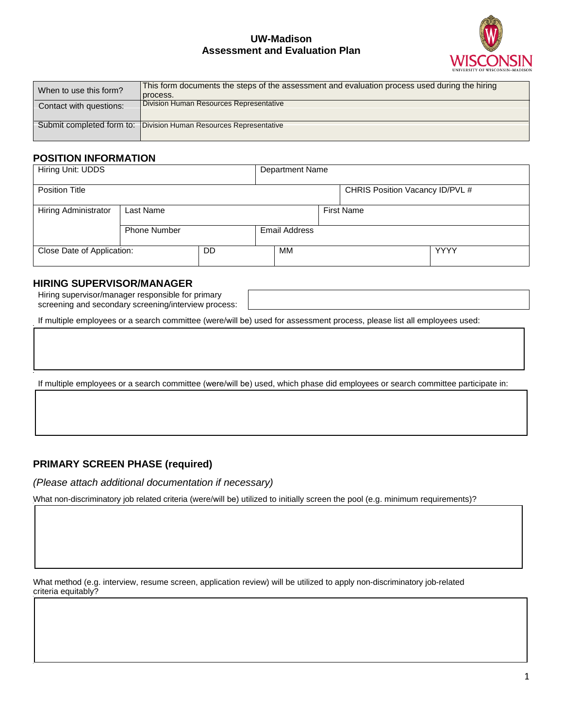### **UW-Madison Assessment and Evaluation Plan**



| When to use this form?  | This form documents the steps of the assessment and evaluation process used during the hiring |
|-------------------------|-----------------------------------------------------------------------------------------------|
|                         | process.                                                                                      |
| Contact with questions: | Division Human Resources Representative                                                       |
|                         |                                                                                               |
|                         | Submit completed form to:   Division Human Resources Representative                           |
|                         |                                                                                               |

#### **POSITION INFORMATION**

| Hiring Unit: UDDS          |                     |    | <b>Department Name</b> |    |                   |                                 |             |  |
|----------------------------|---------------------|----|------------------------|----|-------------------|---------------------------------|-------------|--|
| <b>Position Title</b>      |                     |    |                        |    |                   | CHRIS Position Vacancy ID/PVL # |             |  |
| Hiring Administrator       | Last Name           |    |                        |    | <b>First Name</b> |                                 |             |  |
|                            | <b>Phone Number</b> |    | <b>Email Address</b>   |    |                   |                                 |             |  |
| Close Date of Application: |                     | DD |                        | MМ |                   |                                 | <b>YYYY</b> |  |

### **HIRING SUPERVISOR/MANAGER**

Hiring supervisor/manager responsible for primary screening and secondary screening/interview process:

If multiple employees or a search committee (were/will be) used for assessment process, please list all employees used:

If multiple employees or a search committee (were/will be) used, which phase did employees or search committee participate in:

#### **PRIMARY SCREEN PHASE (required)**

*(Please attach additional documentation if necessary)* 

What non-discriminatory job related criteria (were/will be) utilized to initially screen the pool (e.g. minimum requirements)?

What method (e.g. interview, resume screen, application review) will be utilized to apply non-discriminatory job-related criteria equitably?